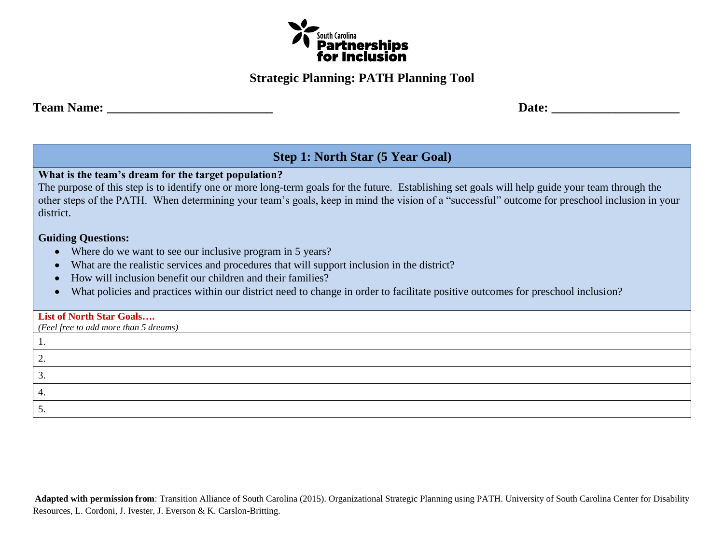

### **Strategic Planning: PATH Planning Tool**

**Team Name:** Date:

**Step 1: North Star (5 Year Goal)**

**What is the team's dream for the target population?**

The purpose of this step is to identify one or more long-term goals for the future. Establishing set goals will help guide your team through the other steps of the PATH. When determining your team's goals, keep in mind the vision of a "successful" outcome for preschool inclusion in your district.

### **Guiding Questions:**

- Where do we want to see our inclusive program in 5 years?
- What are the realistic services and procedures that will support inclusion in the district?
- How will inclusion benefit our children and their families?
- What policies and practices within our district need to change in order to facilitate positive outcomes for preschool inclusion?

### **List of North Star Goals….**

*(Feel free to add more than 5 dreams)*

| . . |  |
|-----|--|
|     |  |
| ັ   |  |
|     |  |
|     |  |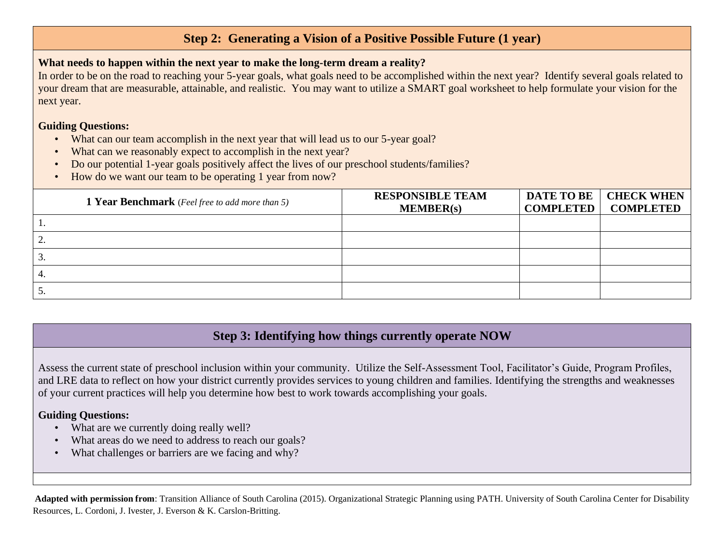# **Step 2: Generating a Vision of a Positive Possible Future (1 year)**

### **What needs to happen within the next year to make the long-term dream a reality?**

In order to be on the road to reaching your 5-year goals, what goals need to be accomplished within the next year? Identify several goals related to your dream that are measurable, attainable, and realistic. You may want to utilize a SMART goal worksheet to help formulate your vision for the next year.

### **Guiding Questions:**

- What can our team accomplish in the next year that will lead us to our 5-year goal?
- What can we reasonably expect to accomplish in the next year?
- Do our potential 1-year goals positively affect the lives of our preschool students/families?
- How do we want our team to be operating 1 year from now?

| <b>1 Year Benchmark</b> (Feel free to add more than 5) | <b>RESPONSIBLE TEAM</b><br>MEMBER(s) | DATE TO BE   CHECK WHEN<br><b>COMPLETED   COMPLETED</b> |
|--------------------------------------------------------|--------------------------------------|---------------------------------------------------------|
|                                                        |                                      |                                                         |
|                                                        |                                      |                                                         |
| 3.                                                     |                                      |                                                         |
| 4.                                                     |                                      |                                                         |
| Ć.                                                     |                                      |                                                         |

# **Step 3: Identifying how things currently operate NOW**

Assess the current state of preschool inclusion within your community. Utilize the Self-Assessment Tool, Facilitator's Guide, Program Profiles, and LRE data to reflect on how your district currently provides services to young children and families. Identifying the strengths and weaknesses of your current practices will help you determine how best to work towards accomplishing your goals.

### **Guiding Questions:**

- What are we currently doing really well?
- What areas do we need to address to reach our goals?
- What challenges or barriers are we facing and why?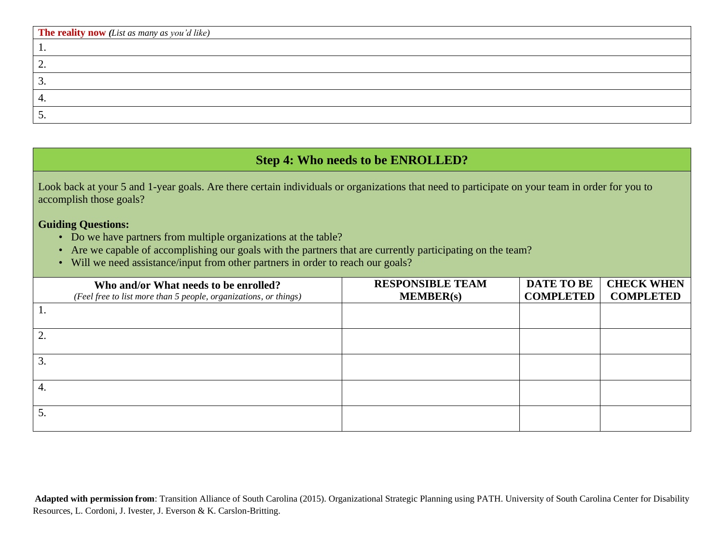| <b>The reality now</b> (List as many as you'd like) |
|-----------------------------------------------------|
|                                                     |
|                                                     |
| <u>.</u>                                            |
| ⊶.                                                  |
|                                                     |

# **Step 4: Who needs to be ENROLLED?**

Look back at your 5 and 1-year goals. Are there certain individuals or organizations that need to participate on your team in order for you to accomplish those goals?

#### **Guiding Questions:**

- Do we have partners from multiple organizations at the table?
- Are we capable of accomplishing our goals with the partners that are currently participating on the team?
- Will we need assistance/input from other partners in order to reach our goals?

|    | Who and/or What needs to be enrolled?                            | <b>RESPONSIBLE TEAM</b> | <b>DATE TO BE</b> | <b>CHECK WHEN</b> |
|----|------------------------------------------------------------------|-------------------------|-------------------|-------------------|
|    | (Feel free to list more than 5 people, organizations, or things) | MEMBER(s)               | <b>COMPLETED</b>  | <b>COMPLETED</b>  |
|    |                                                                  |                         |                   |                   |
|    |                                                                  |                         |                   |                   |
|    |                                                                  |                         |                   |                   |
| 4. |                                                                  |                         |                   |                   |
|    |                                                                  |                         |                   |                   |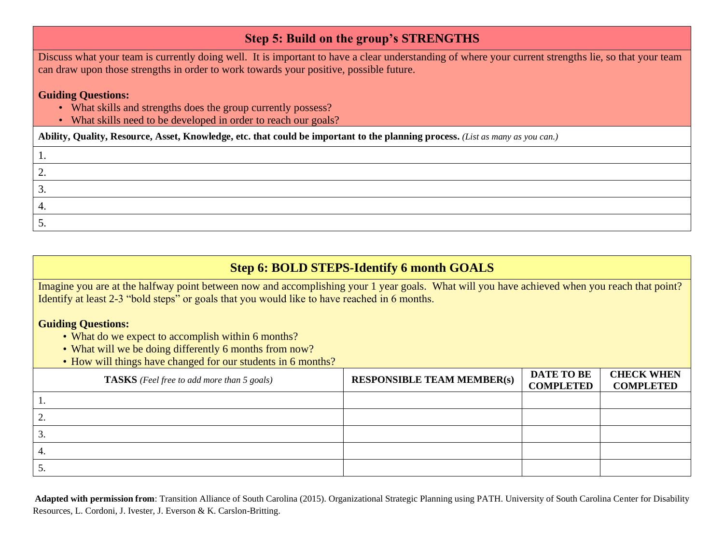### **Step 5: Build on the group's STRENGTHS**

Discuss what your team is currently doing well. It is important to have a clear understanding of where your current strengths lie, so that your team can draw upon those strengths in order to work towards your positive, possible future.

### **Guiding Questions:**

- What skills and strengths does the group currently possess?
- What skills need to be developed in order to reach our goals?

**Ability, Quality, Resource, Asset, Knowledge, etc. that could be important to the planning process.** *(List as many as you can.)*

| <u>.</u> |  |
|----------|--|
| <u>.</u> |  |
|          |  |
| <u>.</u> |  |

# **Step 6: BOLD STEPS-Identify 6 month GOALS**

Imagine you are at the halfway point between now and accomplishing your 1 year goals. What will you have achieved when you reach that point? Identify at least 2-3 "bold steps" or goals that you would like to have reached in 6 months.

### **Guiding Questions:**

- What do we expect to accomplish within 6 months?
- What will we be doing differently 6 months from now?
- How will things have changed for our students in 6 months?

|                 | <b>TASKS</b> (Feel free to add more than 5 goals) | <b>RESPONSIBLE TEAM MEMBER(s)</b> | <b>DATE TO BE</b><br><b>COMPLETED</b> | <b>CHECK WHEN</b><br><b>COMPLETED</b> |
|-----------------|---------------------------------------------------|-----------------------------------|---------------------------------------|---------------------------------------|
|                 |                                                   |                                   |                                       |                                       |
| 2.              |                                                   |                                   |                                       |                                       |
| 3.              |                                                   |                                   |                                       |                                       |
| -4.             |                                                   |                                   |                                       |                                       |
| $\frac{1}{5}$ . |                                                   |                                   |                                       |                                       |